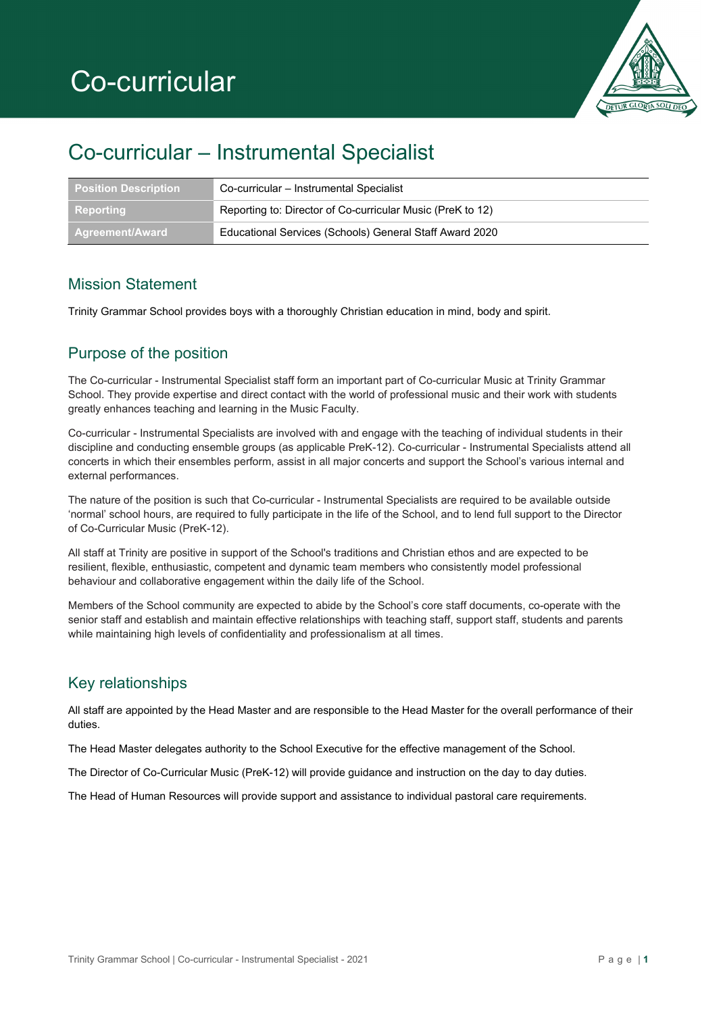

## Co-curricular – Instrumental Specialist

| <b>Position Description</b>    | Co-curricular - Instrumental Specialist                    |
|--------------------------------|------------------------------------------------------------|
| Reporting                      | Reporting to: Director of Co-curricular Music (PreK to 12) |
| ∣ Agreement/Award <sup>∖</sup> | Educational Services (Schools) General Staff Award 2020    |

#### Mission Statement

Trinity Grammar School provides boys with a thoroughly Christian education in mind, body and spirit.

### Purpose of the position

The Co-curricular - Instrumental Specialist staff form an important part of Co-curricular Music at Trinity Grammar School. They provide expertise and direct contact with the world of professional music and their work with students greatly enhances teaching and learning in the Music Faculty.

Co-curricular - Instrumental Specialists are involved with and engage with the teaching of individual students in their discipline and conducting ensemble groups (as applicable PreK-12). Co-curricular - Instrumental Specialists attend all concerts in which their ensembles perform, assist in all major concerts and support the School's various internal and external performances.

The nature of the position is such that Co-curricular - Instrumental Specialists are required to be available outside 'normal' school hours, are required to fully participate in the life of the School, and to lend full support to the Director of Co-Curricular Music (PreK-12).

All staff at Trinity are positive in support of the School's traditions and Christian ethos and are expected to be resilient, flexible, enthusiastic, competent and dynamic team members who consistently model professional behaviour and collaborative engagement within the daily life of the School.

Members of the School community are expected to abide by the School's core staff documents, co-operate with the senior staff and establish and maintain effective relationships with teaching staff, support staff, students and parents while maintaining high levels of confidentiality and professionalism at all times.

## Key relationships

All staff are appointed by the Head Master and are responsible to the Head Master for the overall performance of their duties.

The Head Master delegates authority to the School Executive for the effective management of the School.

The Director of Co-Curricular Music (PreK-12) will provide guidance and instruction on the day to day duties.

The Head of Human Resources will provide support and assistance to individual pastoral care requirements.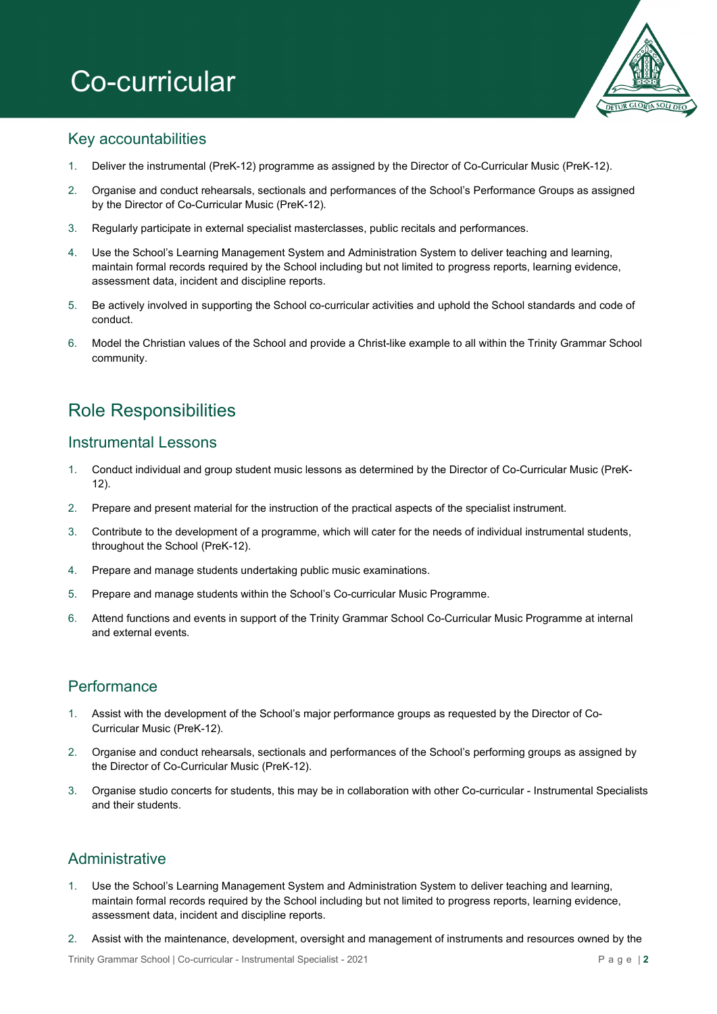# Co-curricular



#### Key accountabilities

- 1. Deliver the instrumental (PreK-12) programme as assigned by the Director of Co-Curricular Music (PreK-12).
- 2. Organise and conduct rehearsals, sectionals and performances of the School's Performance Groups as assigned by the Director of Co-Curricular Music (PreK-12).
- 3. Regularly participate in external specialist masterclasses, public recitals and performances.
- 4. Use the School's Learning Management System and Administration System to deliver teaching and learning, maintain formal records required by the School including but not limited to progress reports, learning evidence, assessment data, incident and discipline reports.
- 5. Be actively involved in supporting the School co-curricular activities and uphold the School standards and code of conduct.
- 6. Model the Christian values of the School and provide a Christ-like example to all within the Trinity Grammar School community.

## Role Responsibilities

#### Instrumental Lessons

- 1. Conduct individual and group student music lessons as determined by the Director of Co-Curricular Music (PreK- $12$ ).
- 2. Prepare and present material for the instruction of the practical aspects of the specialist instrument.
- 3. Contribute to the development of a programme, which will cater for the needs of individual instrumental students, throughout the School (PreK-12).
- 4. Prepare and manage students undertaking public music examinations.
- 5. Prepare and manage students within the School's Co-curricular Music Programme.
- 6. Attend functions and events in support of the Trinity Grammar School Co-Curricular Music Programme at internal and external events.

#### **Performance**

- 1. Assist with the development of the School's major performance groups as requested by the Director of Co-Curricular Music (PreK-12).
- 2. Organise and conduct rehearsals, sectionals and performances of the School's performing groups as assigned by the Director of Co-Curricular Music (PreK-12).
- 3. Organise studio concerts for students, this may be in collaboration with other Co-curricular Instrumental Specialists and their students.

## Administrative

- 1. Use the School's Learning Management System and Administration System to deliver teaching and learning, maintain formal records required by the School including but not limited to progress reports, learning evidence, assessment data, incident and discipline reports.
- 2. Assist with the maintenance, development, oversight and management of instruments and resources owned by the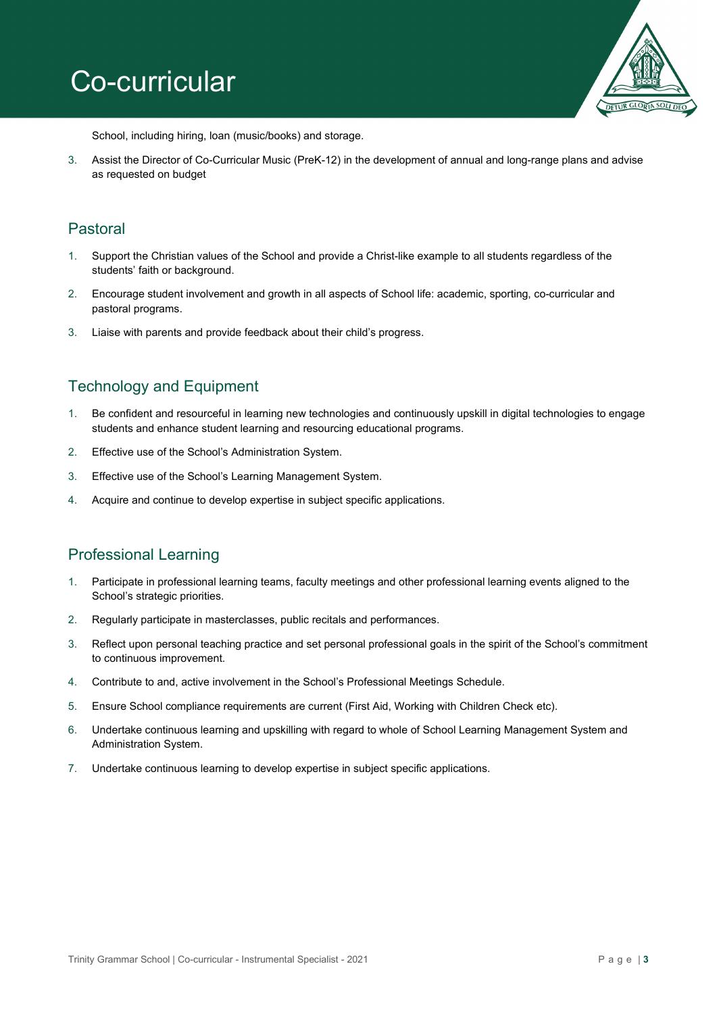# Co-curricular



School, including hiring, loan (music/books) and storage.

3. Assist the Director of Co-Curricular Music (PreK-12) in the development of annual and long-range plans and advise as requested on budget

#### Pastoral

- 1. Support the Christian values of the School and provide a Christ-like example to all students regardless of the students' faith or background.
- 2. Encourage student involvement and growth in all aspects of School life: academic, sporting, co-curricular and pastoral programs.
- 3. Liaise with parents and provide feedback about their child's progress.

### Technology and Equipment

- 1. Be confident and resourceful in learning new technologies and continuously upskill in digital technologies to engage students and enhance student learning and resourcing educational programs.
- 2. Effective use of the School's Administration System.
- 3. Effective use of the School's Learning Management System.
- 4. Acquire and continue to develop expertise in subject specific applications.

#### Professional Learning

- 1. Participate in professional learning teams, faculty meetings and other professional learning events aligned to the School's strategic priorities.
- 2. Regularly participate in masterclasses, public recitals and performances.
- 3. Reflect upon personal teaching practice and set personal professional goals in the spirit of the School's commitment to continuous improvement.
- 4. Contribute to and, active involvement in the School's Professional Meetings Schedule.
- 5. Ensure School compliance requirements are current (First Aid, Working with Children Check etc).
- 6. Undertake continuous learning and upskilling with regard to whole of School Learning Management System and Administration System.
- 7. Undertake continuous learning to develop expertise in subject specific applications.